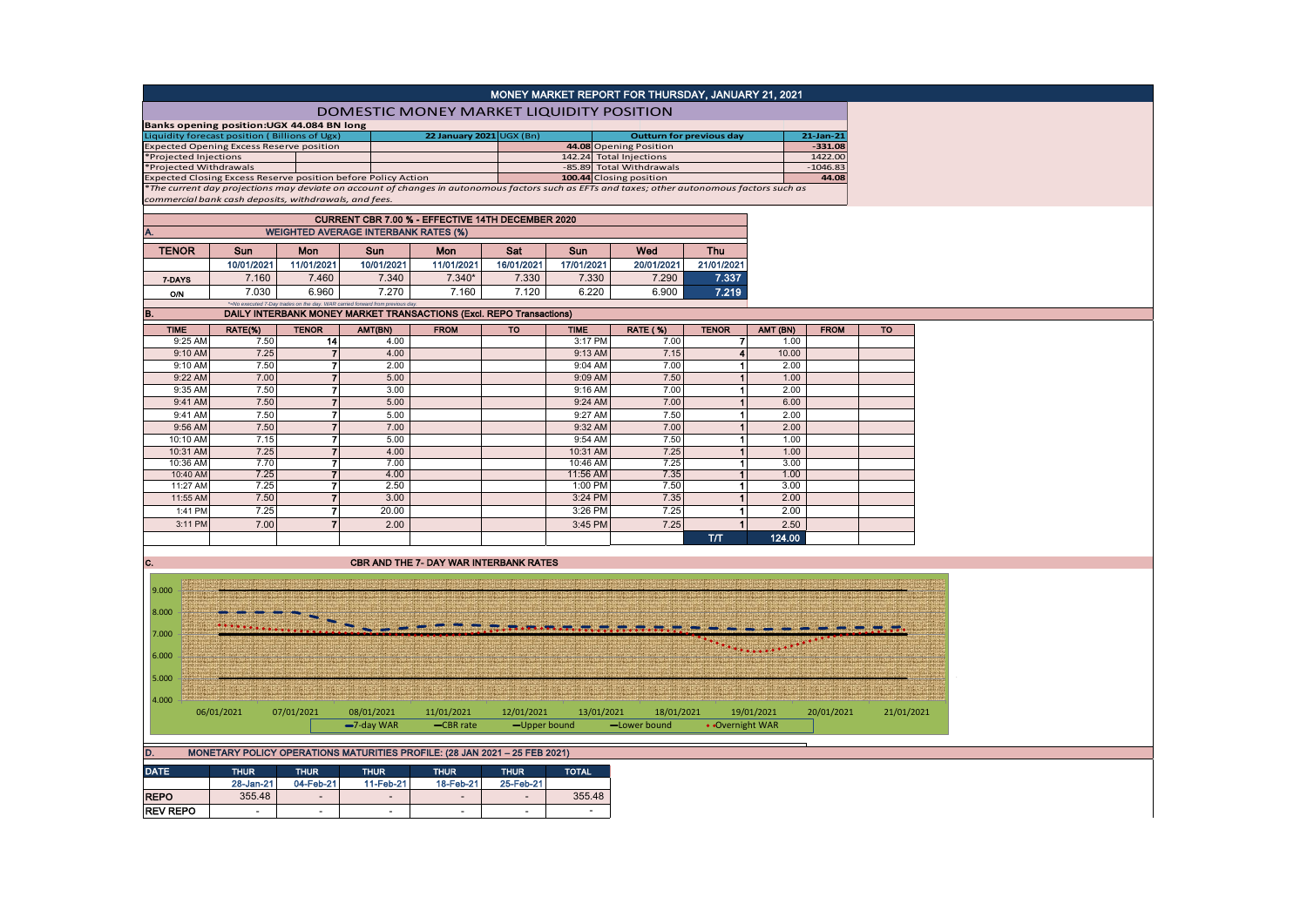|  | MONEY MARKET REPORT FOR THURSDAY, JANUARY 21, 2021 |  |
|--|----------------------------------------------------|--|
|  |                                                    |  |

| <b>DOMESTIC MONEY MARKET LIQUIDITY POSITION</b> |  |  |
|-------------------------------------------------|--|--|
|                                                 |  |  |

| Banks opening position: UGX 44.084 BN long                                                                                                    |  |                          |  |                          |              |  |  |  |  |  |  |
|-----------------------------------------------------------------------------------------------------------------------------------------------|--|--------------------------|--|--------------------------|--------------|--|--|--|--|--|--|
| Liquidity forecast position (Billions of Ugx)                                                                                                 |  | 22 January 2021 UGX (Bn) |  | Outturn for previous day | $21$ -Jan-21 |  |  |  |  |  |  |
| <b>Expected Opening Excess Reserve position</b>                                                                                               |  |                          |  | 44.08 Opening Position   | $-331.08$    |  |  |  |  |  |  |
| *Projected Injections                                                                                                                         |  |                          |  | 142.24 Total Injections  | 1422.00      |  |  |  |  |  |  |
| *Projected Withdrawals                                                                                                                        |  |                          |  | -85.89 Total Withdrawals | $-1046.83$   |  |  |  |  |  |  |
| Expected Closing Excess Reserve position before Policy Action                                                                                 |  |                          |  | 100.44 Closing position  | 44.08        |  |  |  |  |  |  |
| *The current day projections may deviate on account of changes in autonomous factors such as EFTs and taxes; other autonomous factors such as |  |                          |  |                          |              |  |  |  |  |  |  |
| commercial bank cash deposits, withdrawals, and fees,                                                                                         |  |                          |  |                          |              |  |  |  |  |  |  |

|              | CURRENT CBR 7.00 % - EFFECTIVE 14TH DECEMBER 2020                                |            |            |            |            |            |            |            |  |  |  |  |
|--------------|----------------------------------------------------------------------------------|------------|------------|------------|------------|------------|------------|------------|--|--|--|--|
| А.           | <b>WEIGHTED AVERAGE INTERBANK RATES (%)</b>                                      |            |            |            |            |            |            |            |  |  |  |  |
| <b>TENOR</b> | Wed<br><b>Mon</b><br>Mon<br>Sat<br><b>Thu</b><br><b>Sun</b><br>Sun<br><b>Sun</b> |            |            |            |            |            |            |            |  |  |  |  |
|              | 10/01/2021                                                                       | 11/01/2021 | 10/01/2021 | 11/01/2021 | 16/01/2021 | 17/01/2021 | 20/01/2021 | 21/01/2021 |  |  |  |  |
| 7-DAYS       | 7.337<br>7.330<br>7.160<br>$7.340*$<br>7.330<br>7.460<br>7.340<br>7.290          |            |            |            |            |            |            |            |  |  |  |  |
| O/N          | 7.030                                                                            | 6.960      | 7.270      | 7.160      | 7.120      | 6.220      | 6.900      | 7.219      |  |  |  |  |
|              |                                                                                  |            |            |            |            |            |            |            |  |  |  |  |

## **B.**  $\frac{1}{2}$   $\frac{1}{2}$   $\frac{1}{2}$   $\frac{1}{2}$   $\frac{1}{2}$   $\frac{1}{2}$   $\frac{1}{2}$   $\frac{1}{2}$   $\frac{1}{2}$   $\frac{1}{2}$   $\frac{1}{2}$   $\frac{1}{2}$   $\frac{1}{2}$   $\frac{1}{2}$   $\frac{1}{2}$   $\frac{1}{2}$   $\frac{1}{2}$   $\frac{1}{2}$   $\frac{1}{2}$   $\frac{1}{2}$   $\frac{1}{2}$   $\frac{1}{2$

| <b>TIME</b> | RATE(%) | <b>TENOR</b> | AMT(BN) | <b>FROM</b> | <b>TO</b> | <b>TIME</b> | <b>RATE (%)</b> | <b>TENOR</b> | AMT (BN) | <b>FROM</b> | <b>TO</b> |
|-------------|---------|--------------|---------|-------------|-----------|-------------|-----------------|--------------|----------|-------------|-----------|
| 9:25 AM     | 7.50    | 14           | 4.00    |             |           | 3:17 PM     | 7.00            |              | 1.00     |             |           |
| 9:10 AM     | 7.25    |              | 4.00    |             |           | 9:13 AM     | 7.15            | 4            | 10.00    |             |           |
| 9:10 AM     | 7.50    |              | 2.00    |             |           | 9:04 AM     | 7.00            |              | 2.00     |             |           |
| 9:22 AM     | 7.00    |              | 5.00    |             |           | 9:09 AM     | 7.50            |              | 1.00     |             |           |
| 9:35 AM     | 7.50    | 7            | 3.00    |             |           | 9:16 AM     | 7.00            |              | 2.00     |             |           |
| 9:41 AM     | 7.50    | 7            | 5.00    |             |           | 9:24 AM     | 7.00            |              | 6.00     |             |           |
| 9:41 AM     | 7.50    |              | 5.00    |             |           | 9:27 AM     | 7.50            |              | 2.00     |             |           |
| 9:56 AM     | 7.50    |              | 7.00    |             |           | 9:32 AM     | 7.00            |              | 2.00     |             |           |
| 10:10 AM    | 7.15    |              | 5.00    |             |           | 9:54 AM     | 7.50            |              | 1.00     |             |           |
| 10:31 AM    | 7.25    |              | 4.00    |             |           | 10:31 AM    | 7.25            |              | 1.00     |             |           |
| 10:36 AM    | 7.70    |              | 7.00    |             |           | 10:46 AM    | 7.25            |              | 3.00     |             |           |
| 10:40 AM    | 7.25    | -            | 4.00    |             |           | 11:56 AM    | 7.35            |              | 1.00     |             |           |
| 11:27 AM    | 7.25    | -            | 2.50    |             |           | 1:00 PM     | 7.50            |              | 3.00     |             |           |
| 11:55 AM    | 7.50    |              | 3.00    |             |           | 3:24 PM     | 7.35            |              | 2.00     |             |           |
| 1:41 PM     | 7.25    |              | 20.00   |             |           | 3:26 PM     | 7.25            |              | 2.00     |             |           |
| 3:11 PM     | 7.00    | 7            | 2.00    |             |           | 3:45 PM     | 7.25            |              | 2.50     |             |           |
|             |         |              |         |             |           |             |                 | T/T          | 124.00   |             |           |

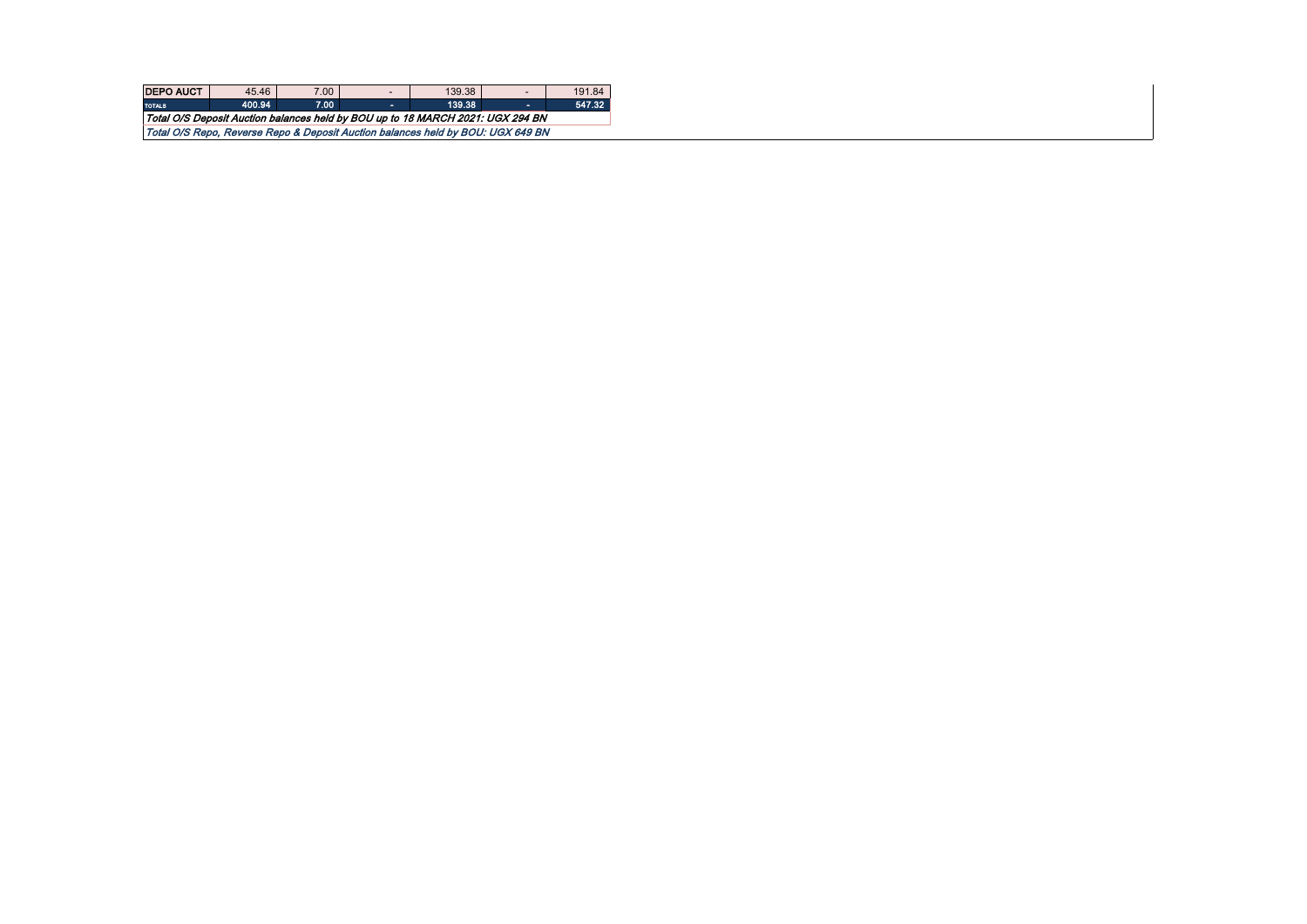| <b>DEPO AUCT</b>                                                                | 45.46  | 7.00 | -  | 139.38 |  | 191.84 |  |  |  |  |  |
|---------------------------------------------------------------------------------|--------|------|----|--------|--|--------|--|--|--|--|--|
| <b>TOTALS</b>                                                                   | 400.94 | 7.00 | ж. | 139.38 |  | 547.32 |  |  |  |  |  |
| Total O/S Deposit Auction balances held by BOU up to 18 MARCH 2021: UGX 294 BN  |        |      |    |        |  |        |  |  |  |  |  |
| Total O/S Repo, Reverse Repo & Deposit Auction balances held by BOU: UGX 649 BN |        |      |    |        |  |        |  |  |  |  |  |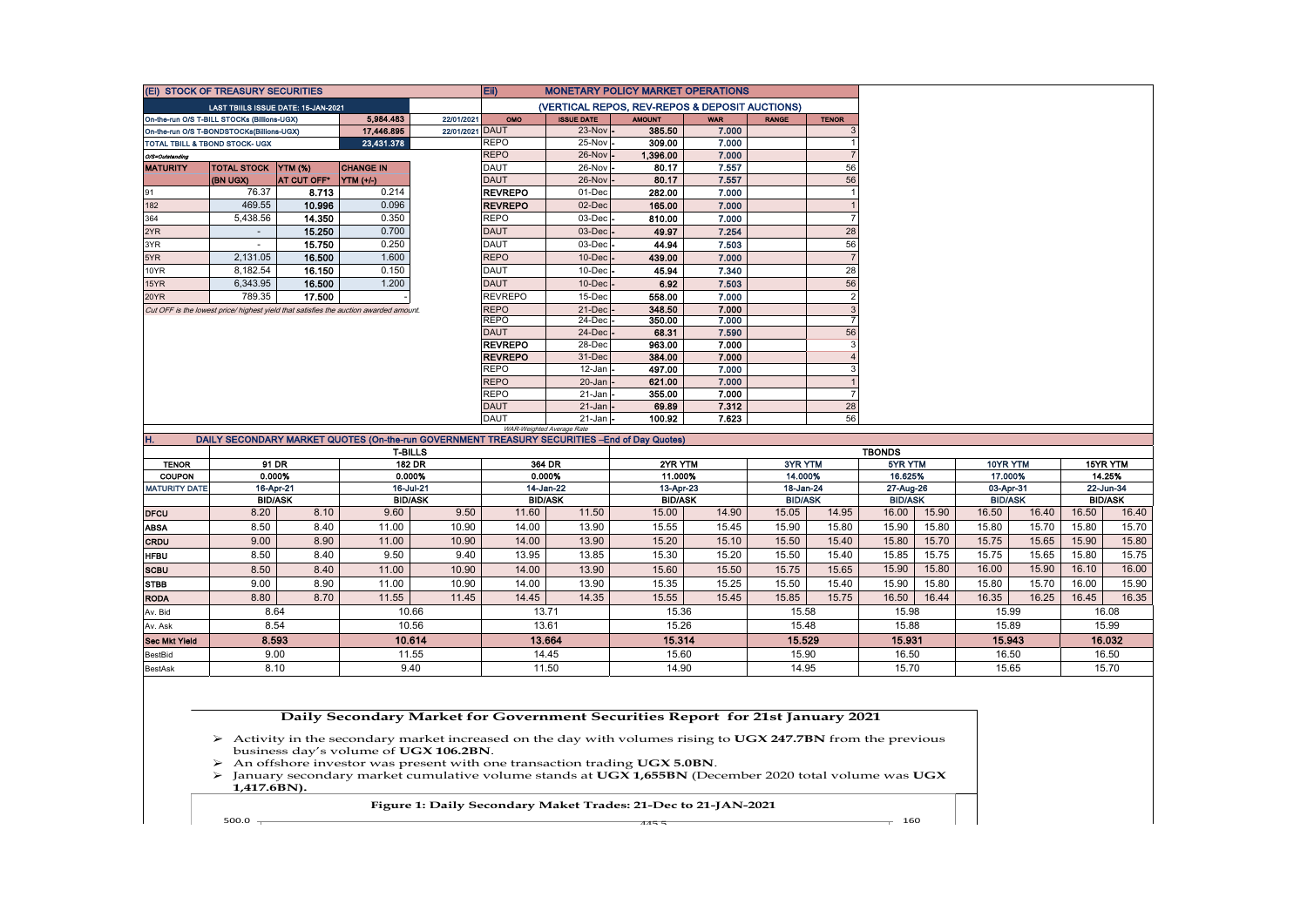|                      | (Ei) STOCK OF TREASURY SECURITIES           |                             |                                                                                       |                             | Eii)                       | <b>MONETARY POLICY MARKET OPERATIONS</b>                                                     |                             |                |                             |                                |                             |       |                             |       |                             |       |
|----------------------|---------------------------------------------|-----------------------------|---------------------------------------------------------------------------------------|-----------------------------|----------------------------|----------------------------------------------------------------------------------------------|-----------------------------|----------------|-----------------------------|--------------------------------|-----------------------------|-------|-----------------------------|-------|-----------------------------|-------|
|                      | LAST TBIILS ISSUE DATE: 15-JAN-2021         |                             |                                                                                       |                             |                            | (VERTICAL REPOS, REV-REPOS & DEPOSIT AUCTIONS)                                               |                             |                |                             |                                |                             |       |                             |       |                             |       |
|                      | On-the-run O/S T-BILL STOCKs (Billions-UGX) |                             | 5,984,483                                                                             | 22/01/2021                  | OMO                        | <b>ISSUE DATE</b>                                                                            | <b>AMOUNT</b>               | <b>WAR</b>     | <b>RANGE</b>                | <b>TENOR</b>                   |                             |       |                             |       |                             |       |
|                      | On-the-run O/S T-BONDSTOCKs(Billions-UGX)   |                             | 17,446.895                                                                            | 22/01/2021 DAUT             |                            | $23-Nov$ .                                                                                   | 385.50                      | 7.000          |                             | 3                              |                             |       |                             |       |                             |       |
|                      | TOTAL TBILL & TBOND STOCK- UGX              |                             | 23,431.378                                                                            |                             | <b>REPO</b>                | 25-Nov                                                                                       | 309.00                      | 7.000          |                             | $\mathbf{1}$                   |                             |       |                             |       |                             |       |
| O/S=Outstanding      |                                             |                             |                                                                                       |                             | <b>REPO</b>                | 26-Nov                                                                                       | 1,396.00                    | 7.000<br>7.557 |                             | $\overline{7}$                 |                             |       |                             |       |                             |       |
| <b>MATURITY</b>      | TOTAL STOCK YTM (%)<br>(BN UGX)             | AT CUT OFF*                 | <b>CHANGE IN</b><br>YTM (+/-)                                                         |                             | <b>DAUT</b><br><b>DAUT</b> | 26-Nov<br>26-Nov                                                                             | 80.17<br>80.17              | 7.557          |                             | 56<br>56                       |                             |       |                             |       |                             |       |
| 91                   | 76.37                                       | 8.713                       | 0.214                                                                                 |                             | <b>REVREPO</b>             | 01-Dec                                                                                       | 282.00                      | 7.000          |                             | $\overline{1}$                 |                             |       |                             |       |                             |       |
| 182                  | 469.55                                      | 10.996                      | 0.096                                                                                 |                             | <b>REVREPO</b>             | 02-Dec                                                                                       | 165.00                      | 7.000          |                             | $\mathbf{1}$                   |                             |       |                             |       |                             |       |
| 364                  | 5.438.56                                    | 14.350                      | 0.350                                                                                 |                             | <b>REPO</b>                | 03-Dec                                                                                       | 810.00                      | 7.000          |                             | $\overline{7}$                 |                             |       |                             |       |                             |       |
| 2YR                  |                                             | 15.250                      | 0.700                                                                                 |                             | <b>DAUT</b>                | $03$ -Dec $\cdot$                                                                            | 49.97                       | 7.254          |                             | 28                             |                             |       |                             |       |                             |       |
| 3YR                  |                                             | 15.750                      | 0.250                                                                                 |                             | <b>DAUT</b>                | 03-Dec                                                                                       | 44.94                       | 7.503          |                             | 56                             |                             |       |                             |       |                             |       |
| 5YR                  | 2,131.05                                    | 16.500                      | 1.600                                                                                 |                             | <b>REPO</b>                | 10-Dec                                                                                       | 439.00                      | 7.000          |                             | $\overline{7}$                 |                             |       |                             |       |                             |       |
| 10YR                 | 8,182.54                                    | 16.150                      | 0.150                                                                                 |                             | DAUT                       | 10-Dec                                                                                       | 45.94                       | 7.340          |                             | 28                             |                             |       |                             |       |                             |       |
| 15YR                 | 6,343.95                                    | 16.500                      | 1.200                                                                                 |                             | <b>DAUT</b>                | $10$ -Dec                                                                                    | 6.92                        | 7.503          |                             | 56                             |                             |       |                             |       |                             |       |
| 20YR                 | 789.35                                      | 17.500                      |                                                                                       |                             | <b>REVREPO</b>             | 15-Dec                                                                                       | 558.00                      | 7.000          |                             | $\mathbf 2$                    |                             |       |                             |       |                             |       |
|                      |                                             |                             | Cut OFF is the lowest price/ highest yield that satisfies the auction awarded amount. |                             | <b>REPO</b>                | 21-Dec                                                                                       | 348.50                      | 7.000          |                             | $\mathbf{3}$                   |                             |       |                             |       |                             |       |
|                      |                                             |                             |                                                                                       |                             | <b>REPO</b>                | $24$ -Dec $\overline{\phantom{a}}$                                                           | 350.00                      | 7.000          |                             | $\overline{7}$                 |                             |       |                             |       |                             |       |
|                      |                                             |                             |                                                                                       |                             | <b>DAUT</b>                | 24-Dec                                                                                       | 68.31                       | 7.590          |                             | 56                             |                             |       |                             |       |                             |       |
|                      |                                             |                             |                                                                                       |                             | <b>REVREPO</b>             | 28-Dec                                                                                       | 963.00                      | 7.000          |                             | $\mathbf{3}$                   |                             |       |                             |       |                             |       |
|                      |                                             |                             |                                                                                       |                             | <b>REVREPO</b>             | 31-Dec                                                                                       | 384.00                      | 7.000          |                             | $\overline{4}$                 |                             |       |                             |       |                             |       |
|                      |                                             |                             |                                                                                       |                             | <b>REPO</b>                | 12-Jan                                                                                       | 497.00                      | 7.000          |                             | $\mathbf{3}$                   |                             |       |                             |       |                             |       |
|                      |                                             |                             |                                                                                       |                             | <b>REPO</b><br><b>REPO</b> | 20-Jan<br>21-Jan                                                                             | 621.00                      | 7.000<br>7.000 |                             | $\mathbf{1}$<br>$\overline{7}$ |                             |       |                             |       |                             |       |
|                      |                                             |                             |                                                                                       |                             | <b>DAUT</b>                | 21-Jan                                                                                       | 355.00<br>69.89             | 7.312          |                             | 28                             |                             |       |                             |       |                             |       |
|                      |                                             |                             |                                                                                       |                             | <b>DAUT</b>                | $21 - Jan$                                                                                   | 100.92                      | 7.623          |                             | 56                             |                             |       |                             |       |                             |       |
|                      |                                             |                             |                                                                                       |                             |                            | WAR-Weighted Average Rate                                                                    |                             |                |                             |                                |                             |       |                             |       |                             |       |
| н.                   |                                             |                             |                                                                                       |                             |                            | DAILY SECONDARY MARKET QUOTES (On-the-run GOVERNMENT TREASURY SECURITIES -End of Day Quotes) |                             |                |                             |                                |                             |       |                             |       |                             |       |
|                      |                                             |                             |                                                                                       | <b>T-BILLS</b>              |                            |                                                                                              |                             |                |                             |                                | <b>TBONDS</b>               |       |                             |       |                             |       |
| <b>TENOR</b>         |                                             | 91 DR                       |                                                                                       | 182 DR                      |                            | 364 DR                                                                                       | 2YR YTM                     |                | 3YR YTM                     |                                | 5YR YTM                     |       | 10YR YTM                    |       | 15YR YTM                    |       |
| <b>COUPON</b>        |                                             | 0.000%                      |                                                                                       | 0.000%                      |                            | 0.000%                                                                                       | 11.000%                     |                | 14.000%                     |                                | 16.625%                     |       | 17.000%                     |       | 14.25%                      |       |
| <b>MATURITY DATE</b> |                                             | 16-Apr-21<br><b>BID/ASK</b> |                                                                                       | 16-Jul-21<br><b>BID/ASK</b> |                            | 14-Jan-22<br><b>BID/ASK</b>                                                                  | 13-Apr-23<br><b>BID/ASK</b> |                | 18-Jan-24<br><b>BID/ASK</b> |                                | 27-Aug-26<br><b>BID/ASK</b> |       | 03-Apr-31<br><b>BID/ASK</b> |       | 22-Jun-34<br><b>BID/ASK</b> |       |
| <b>DFCU</b>          | 8.20                                        | 8.10                        | 9.60                                                                                  | 9.50                        | 11.60                      | 11.50                                                                                        | 15.00                       | 14.90          | 15.05                       | 14.95                          | 16.00                       | 15.90 | 16.50                       | 16.40 | 16.50                       | 16.40 |
| <b>ABSA</b>          | 8.50                                        | 8.40                        | 11.00                                                                                 | 10.90                       | 14.00                      | 13.90                                                                                        | 15.55                       | 15.45          | 15.90                       | 15.80                          | 15.90                       | 15.80 | 15.80                       | 15.70 | 15.80                       | 15.70 |
| CRDU                 | 9.00                                        | 8.90                        | 11.00                                                                                 | 10.90                       | 14.00                      | 13.90                                                                                        | 15.20                       | 15.10          | 15.50                       | 15.40                          | 15.80                       | 15.70 | 15.75                       | 15.65 | 15.90                       | 15.80 |
|                      | 8.50                                        | 8.40                        | 9.50                                                                                  | 9.40                        | 13.95                      | 13.85                                                                                        | 15.30                       | 15.20          | 15.50                       | 15.40                          | 15.85                       | 15.75 | 15.75                       | 15.65 | 15.80                       | 15.75 |
| <b>HFBU</b>          |                                             |                             |                                                                                       |                             |                            |                                                                                              |                             |                |                             |                                |                             |       |                             |       |                             |       |
| <b>SCBU</b>          | 8.50                                        | 8.40                        | 11.00                                                                                 | 10.90                       | 14.00                      | 13.90                                                                                        | 15.60                       | 15.50          | 15.75                       | 15.65                          | 15.90                       | 15.80 | 16.00                       | 15.90 | 16.10                       | 16.00 |
| <b>STBB</b>          | 9.00                                        | 8.90                        | 11.00                                                                                 | 10.90                       | 14.00                      | 13.90                                                                                        | 15.35                       | 15.25          | 15.50                       | 15.40                          | 15.90                       | 15.80 | 15.80                       | 15.70 | 16.00                       | 15.90 |
| <b>RODA</b>          | 8.80                                        | 8.70                        | 11.55                                                                                 | 11.45                       | 14.45                      | 14.35                                                                                        | 15.55                       | 15.45          | 15.85                       | 15.75                          | 16.50                       | 16.44 | 16.35                       | 16.25 | 16.45                       | 16.35 |
| Av. Bid              |                                             | 8.64                        |                                                                                       | 10.66                       |                            | 13.71                                                                                        | 15.36                       |                | 15.58                       |                                | 15.98                       |       | 15.99                       |       | 16.08                       |       |
| Av. Ask              |                                             | 8.54                        |                                                                                       | 10.56                       |                            | 13.61                                                                                        | 15.26                       |                | 15.48                       |                                | 15.88                       |       | 15.89                       |       | 15.99                       |       |
| <b>Sec Mkt Yield</b> |                                             | 8.593                       |                                                                                       | 10.614                      |                            | 13.664                                                                                       | 15.314                      |                | 15.529                      |                                | 15.931                      |       | 15.943                      |       | 16.032                      |       |
| BestBid              |                                             | 9.00                        |                                                                                       | 11.55                       |                            | 14.45                                                                                        | 15.60                       |                | 15.90                       |                                | 16.50                       |       | 16.50                       |       | 16.50                       |       |
| <b>BestAsk</b>       |                                             | 8.10                        |                                                                                       | 9.40                        |                            | 11.50                                                                                        | 14.90                       |                | 14.95                       |                                | 15.70                       |       | 15.65                       |       | 15.70                       |       |
|                      |                                             |                             |                                                                                       |                             |                            |                                                                                              |                             |                |                             |                                |                             |       |                             |       |                             |       |

## **Daily Secondary Market for Government Securities Report for 21st January 2021**

- Activity in the secondary market increased on the day with volumes rising to **UGX 247.7BN** from the previous business day's volume of **UGX 106.2BN**.
- > An offshore investor was present with one transaction trading UGX 5.0BN.<br>
→ January secondary market cumulative volume stands at UGX 1.655BN (Dec
- January secondary market cumulative volume stands at **UGX 1,655BN** (December 2020 total volume was **UGX 1,417.6BN).**

## **Figure 1: Daily Secondary Maket Trades: 21-Dec to 21-JAN-2021**

500.0  $-$ 

445.5

 $-160$